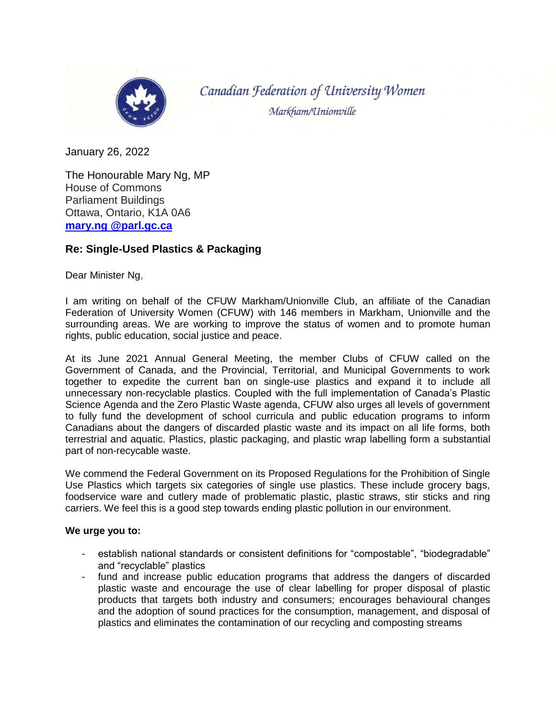

Canadian Federation of University Women Markham/Unionville

January 26, 2022

The Honourable Mary Ng, MP House of Commons Parliament Buildings Ottawa, Ontario, K1A 0A6 **mary.ng [@parl.gc.ca](mailto:helena.jaczek@parl.gc.ca)**

## **Re: Single-Used Plastics & Packaging**

Dear Minister Ng,

I am writing on behalf of the CFUW Markham/Unionville Club, an affiliate of the Canadian Federation of University Women (CFUW) with 146 members in Markham, Unionville and the surrounding areas. We are working to improve the status of women and to promote human rights, public education, social justice and peace.

At its June 2021 Annual General Meeting, the member Clubs of CFUW called on the Government of Canada, and the Provincial, Territorial, and Municipal Governments to work together to expedite the current ban on single-use plastics and expand it to include all unnecessary non-recyclable plastics. Coupled with the full implementation of Canada's Plastic Science Agenda and the Zero Plastic Waste agenda, CFUW also urges all levels of government to fully fund the development of school curricula and public education programs to inform Canadians about the dangers of discarded plastic waste and its impact on all life forms, both terrestrial and aquatic. Plastics, plastic packaging, and plastic wrap labelling form a substantial part of non-recycable waste.

We commend the Federal Government on its Proposed Regulations for the Prohibition of Single Use Plastics which targets six categories of single use plastics. These include grocery bags, foodservice ware and cutlery made of problematic plastic, plastic straws, stir sticks and ring carriers. We feel this is a good step towards ending plastic pollution in our environment.

## **We urge you to:**

- establish national standards or consistent definitions for "compostable", "biodegradable" and "recyclable" plastics
- fund and increase public education programs that address the dangers of discarded plastic waste and encourage the use of clear labelling for proper disposal of plastic products that targets both industry and consumers; encourages behavioural changes and the adoption of sound practices for the consumption, management, and disposal of plastics and eliminates the contamination of our recycling and composting streams